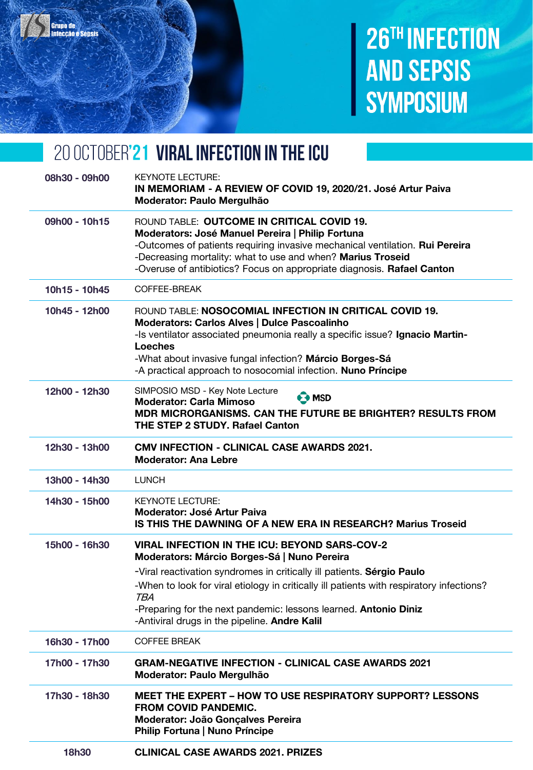

## 26TH INFECTION **AND SEPSIS SYMPOSIUM**

### 20 OCTOBER'21 VIRAL INFECTION IN THE ICU

| 08h30 - 09h00 | <b>KEYNOTE LECTURE:</b><br>IN MEMORIAM - A REVIEW OF COVID 19, 2020/21. José Artur Paiva<br>Moderator: Paulo Mergulhão                                                                                                                                                                                                                                                                                       |
|---------------|--------------------------------------------------------------------------------------------------------------------------------------------------------------------------------------------------------------------------------------------------------------------------------------------------------------------------------------------------------------------------------------------------------------|
| 09h00 - 10h15 | ROUND TABLE: OUTCOME IN CRITICAL COVID 19.<br>Moderators: José Manuel Pereira   Philip Fortuna<br>-Outcomes of patients requiring invasive mechanical ventilation. Rui Pereira<br>-Decreasing mortality: what to use and when? Marius Troseid<br>-Overuse of antibiotics? Focus on appropriate diagnosis. Rafael Canton                                                                                      |
| 10h15 - 10h45 | COFFEE-BREAK                                                                                                                                                                                                                                                                                                                                                                                                 |
| 10h45 - 12h00 | ROUND TABLE: NOSOCOMIAL INFECTION IN CRITICAL COVID 19.<br>Moderators: Carlos Alves   Dulce Pascoalinho<br>-Is ventilator associated pneumonia really a specific issue? Ignacio Martin-<br><b>Loeches</b><br>-What about invasive fungal infection? Márcio Borges-Sá<br>-A practical approach to nosocomial infection. Nuno Príncipe                                                                         |
| 12h00 - 12h30 | SIMPOSIO MSD - Key Note Lecture<br>$\Theta$ MSD<br><b>Moderator: Carla Mimoso</b><br>MDR MICRORGANISMS. CAN THE FUTURE BE BRIGHTER? RESULTS FROM<br><b>THE STEP 2 STUDY. Rafael Canton</b>                                                                                                                                                                                                                   |
| 12h30 - 13h00 | <b>CMV INFECTION - CLINICAL CASE AWARDS 2021.</b><br><b>Moderator: Ana Lebre</b>                                                                                                                                                                                                                                                                                                                             |
| 13h00 - 14h30 | <b>LUNCH</b>                                                                                                                                                                                                                                                                                                                                                                                                 |
| 14h30 - 15h00 | <b>KEYNOTE LECTURE:</b><br><b>Moderator: José Artur Paiva</b><br><b>IS THIS THE DAWNING OF A NEW ERA IN RESEARCH? Marius Troseid</b>                                                                                                                                                                                                                                                                         |
| 15h00 - 16h30 | <b>VIRAL INFECTION IN THE ICU: BEYOND SARS-COV-2</b><br>Moderators: Márcio Borges-Sá   Nuno Pereira<br>-Viral reactivation syndromes in critically ill patients. Sérgio Paulo<br>-When to look for viral etiology in critically ill patients with respiratory infections?<br><b>TBA</b><br>-Preparing for the next pandemic: lessons learned. Antonio Diniz<br>-Antiviral drugs in the pipeline. Andre Kalil |
| 16h30 - 17h00 | <b>COFFEE BREAK</b>                                                                                                                                                                                                                                                                                                                                                                                          |
| 17h00 - 17h30 | <b>GRAM-NEGATIVE INFECTION - CLINICAL CASE AWARDS 2021</b><br>Moderator: Paulo Mergulhão                                                                                                                                                                                                                                                                                                                     |
| 17h30 - 18h30 | <b>MEET THE EXPERT - HOW TO USE RESPIRATORY SUPPORT? LESSONS</b><br><b>FROM COVID PANDEMIC.</b><br>Moderator: João Gonçalves Pereira<br>Philip Fortuna   Nuno Príncipe                                                                                                                                                                                                                                       |
| 18h30         | <b>CLINICAL CASE AWARDS 2021. PRIZES</b>                                                                                                                                                                                                                                                                                                                                                                     |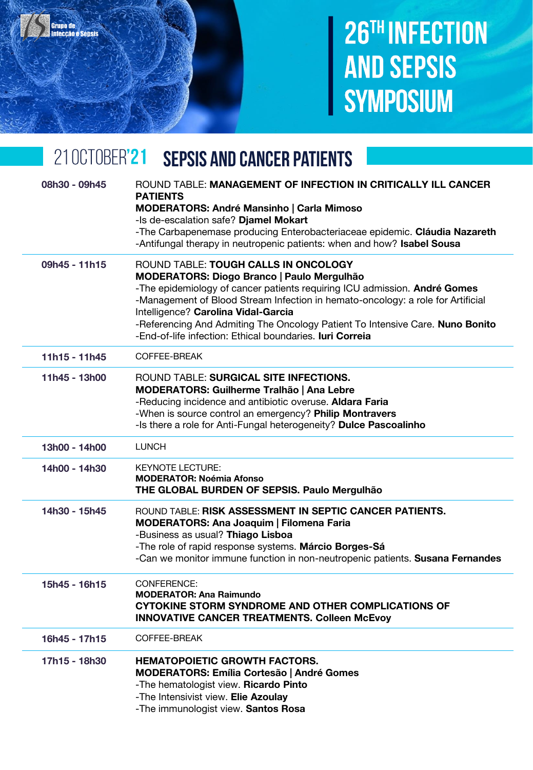# 26TH INFECTION **AND SEPSIS SYMPOSIUM**

#### 210CT0BER'21 **SEPSIS AND CANCER PATIENTS**

Grupo de<br>Infecção e Sensis

| 08h30 - 09h45 | ROUND TABLE: MANAGEMENT OF INFECTION IN CRITICALLY ILL CANCER<br><b>PATIENTS</b><br><b>MODERATORS: André Mansinho   Carla Mimoso</b><br>-Is de-escalation safe? Djamel Mokart<br>-The Carbapenemase producing Enterobacteriaceae epidemic. Cláudia Nazareth<br>-Antifungal therapy in neutropenic patients: when and how? Isabel Sousa                                                                                                               |
|---------------|------------------------------------------------------------------------------------------------------------------------------------------------------------------------------------------------------------------------------------------------------------------------------------------------------------------------------------------------------------------------------------------------------------------------------------------------------|
| 09h45 - 11h15 | ROUND TABLE: TOUGH CALLS IN ONCOLOGY<br><b>MODERATORS: Diogo Branco   Paulo Mergulhão</b><br>-The epidemiology of cancer patients requiring ICU admission. André Gomes<br>-Management of Blood Stream Infection in hemato-oncology: a role for Artificial<br>Intelligence? Carolina Vidal-Garcia<br>-Referencing And Admiting The Oncology Patient To Intensive Care. Nuno Bonito<br>-End-of-life infection: Ethical boundaries. <b>Iuri Correia</b> |
| 11h15 - 11h45 | COFFEE-BREAK                                                                                                                                                                                                                                                                                                                                                                                                                                         |
| 11h45 - 13h00 | ROUND TABLE: SURGICAL SITE INFECTIONS.<br>MODERATORS: Guilherme Tralhão   Ana Lebre<br>-Reducing incidence and antibiotic overuse. Aldara Faria<br>-When is source control an emergency? Philip Montravers<br>-Is there a role for Anti-Fungal heterogeneity? Dulce Pascoalinho                                                                                                                                                                      |
| 13h00 - 14h00 | <b>LUNCH</b>                                                                                                                                                                                                                                                                                                                                                                                                                                         |
| 14h00 - 14h30 | <b>KEYNOTE LECTURE:</b><br><b>MODERATOR: Noémia Afonso</b><br>THE GLOBAL BURDEN OF SEPSIS. Paulo Mergulhão                                                                                                                                                                                                                                                                                                                                           |
| 14h30 - 15h45 | ROUND TABLE: RISK ASSESSMENT IN SEPTIC CANCER PATIENTS.<br><b>MODERATORS: Ana Joaquim   Filomena Faria</b><br>-Business as usual? Thiago Lisboa<br>-The role of rapid response systems. Márcio Borges-Sá<br>-Can we monitor immune function in non-neutropenic patients. Susana Fernandes                                                                                                                                                            |
| 15h45 - 16h15 | <b>CONFERENCE:</b><br><b>MODERATOR: Ana Raimundo</b><br>CYTOKINE STORM SYNDROME AND OTHER COMPLICATIONS OF<br><b>INNOVATIVE CANCER TREATMENTS. Colleen McEvoy</b>                                                                                                                                                                                                                                                                                    |
| 16h45 - 17h15 | COFFEE-BREAK                                                                                                                                                                                                                                                                                                                                                                                                                                         |
| 17h15 - 18h30 | <b>HEMATOPOIETIC GROWTH FACTORS.</b><br><b>MODERATORS: Emília Cortesão   André Gomes</b><br>-The hematologist view. Ricardo Pinto<br>-The Intensivist view. Elie Azoulay<br>-The immunologist view. Santos Rosa                                                                                                                                                                                                                                      |